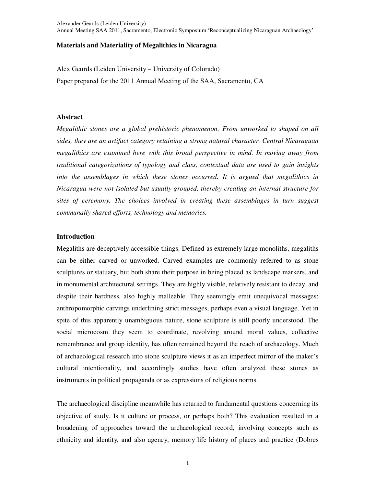# **Materials and Materiality of Megalithics in Nicaragua**

Alex Geurds (Leiden University – University of Colorado) Paper prepared for the 2011 Annual Meeting of the SAA, Sacramento, CA

# **Abstract**

*Megalithic stones are a global prehistoric phenomenon. From unworked to shaped on all sides, they are an artifact category retaining a strong natural character. Central Nicaraguan megalithics are examined here with this broad perspective in mind. In moving away from traditional categorizations of typology and class, contextual data are used to gain insights into the assemblages in which these stones occurred. It is argued that megalithics in Nicaragua were not isolated but usually grouped, thereby creating an internal structure for sites of ceremony. The choices involved in creating these assemblages in turn suggest communally shared efforts, technology and memories.* 

# **Introduction**

Megaliths are deceptively accessible things. Defined as extremely large monoliths, megaliths can be either carved or unworked. Carved examples are commonly referred to as stone sculptures or statuary, but both share their purpose in being placed as landscape markers, and in monumental architectural settings. They are highly visible, relatively resistant to decay, and despite their hardness, also highly malleable. They seemingly emit unequivocal messages; anthropomorphic carvings underlining strict messages, perhaps even a visual language. Yet in spite of this apparently unambiguous nature, stone sculpture is still poorly understood. The social microcosm they seem to coordinate, revolving around moral values, collective remembrance and group identity, has often remained beyond the reach of archaeology. Much of archaeological research into stone sculpture views it as an imperfect mirror of the maker's cultural intentionality, and accordingly studies have often analyzed these stones as instruments in political propaganda or as expressions of religious norms.

The archaeological discipline meanwhile has returned to fundamental questions concerning its objective of study. Is it culture or process, or perhaps both? This evaluation resulted in a broadening of approaches toward the archaeological record, involving concepts such as ethnicity and identity, and also agency, memory life history of places and practice (Dobres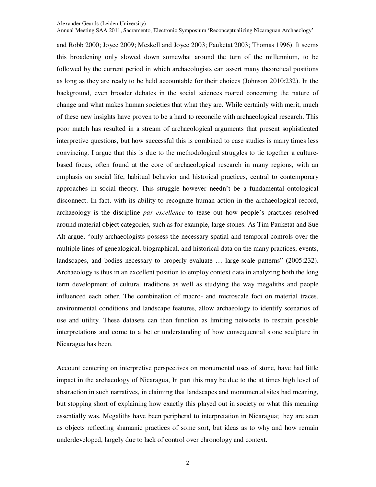Annual Meeting SAA 2011, Sacramento, Electronic Symposium 'Reconceptualizing Nicaraguan Archaeology'

and Robb 2000; Joyce 2009; Meskell and Joyce 2003; Pauketat 2003; Thomas 1996). It seems this broadening only slowed down somewhat around the turn of the millennium, to be followed by the current period in which archaeologists can assert many theoretical positions as long as they are ready to be held accountable for their choices (Johnson 2010:232). In the background, even broader debates in the social sciences roared concerning the nature of change and what makes human societies that what they are. While certainly with merit, much of these new insights have proven to be a hard to reconcile with archaeological research. This poor match has resulted in a stream of archaeological arguments that present sophisticated interpretive questions, but how successful this is combined to case studies is many times less convincing. I argue that this is due to the methodological struggles to tie together a culturebased focus, often found at the core of archaeological research in many regions, with an emphasis on social life, habitual behavior and historical practices, central to contemporary approaches in social theory. This struggle however needn't be a fundamental ontological disconnect. In fact, with its ability to recognize human action in the archaeological record, archaeology is the discipline *par excellence* to tease out how people's practices resolved around material object categories, such as for example, large stones. As Tim Pauketat and Sue Alt argue, "only archaeologists possess the necessary spatial and temporal controls over the multiple lines of genealogical, biographical, and historical data on the many practices, events, landscapes, and bodies necessary to properly evaluate … large-scale patterns" (2005:232). Archaeology is thus in an excellent position to employ context data in analyzing both the long term development of cultural traditions as well as studying the way megaliths and people influenced each other. The combination of macro- and microscale foci on material traces, environmental conditions and landscape features, allow archaeology to identify scenarios of use and utility. These datasets can then function as limiting networks to restrain possible interpretations and come to a better understanding of how consequential stone sculpture in Nicaragua has been.

Account centering on interpretive perspectives on monumental uses of stone, have had little impact in the archaeology of Nicaragua, In part this may be due to the at times high level of abstraction in such narratives, in claiming that landscapes and monumental sites had meaning, but stopping short of explaining how exactly this played out in society or what this meaning essentially was. Megaliths have been peripheral to interpretation in Nicaragua; they are seen as objects reflecting shamanic practices of some sort, but ideas as to why and how remain underdeveloped, largely due to lack of control over chronology and context.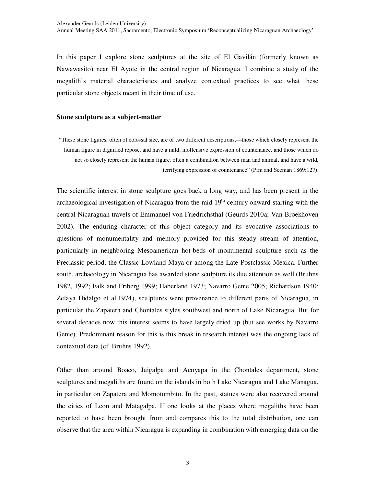In this paper I explore stone sculptures at the site of El Gavilán (formerly known as Nawawasito) near El Ayote in the central region of Nicaragua. I combine a study of the megalith's material characteristics and analyze contextual practices to see what these particular stone objects meant in their time of use.

## **Stone sculpture as a subject-matter**

"These stone figures, often of colossal size, are of two different descriptions,—those which closely represent the human figure in dignified repose, and have a mild, inoffensive expression of countenance, and those which do not so closely represent the human figure, often a combination between man and animal, and have a wild, terrifying expression of countenance" (Pim and Seeman 1869:127).

The scientific interest in stone sculpture goes back a long way, and has been present in the archaeological investigation of Nicaragua from the mid  $19<sup>th</sup>$  century onward starting with the central Nicaraguan travels of Emmanuel von Friedrichsthal (Geurds 2010a; Van Broekhoven 2002). The enduring character of this object category and its evocative associations to questions of monumentality and memory provided for this steady stream of attention, particularly in neighboring Mesoamerican hot-beds of monumental sculpture such as the Preclassic period, the Classic Lowland Maya or among the Late Postclassic Mexica. Further south, archaeology in Nicaragua has awarded stone sculpture its due attention as well (Bruhns 1982, 1992; Falk and Friberg 1999; Haberland 1973; Navarro Genie 2005; Richardson 1940; Zelaya Hidalgo et al.1974), sculptures were provenance to different parts of Nicaragua, in particular the Zapatera and Chontales styles southwest and north of Lake Nicaragua. But for several decades now this interest seems to have largely dried up (but see works by Navarro Genie). Predominant reason for this is this break in research interest was the ongoing lack of contextual data (cf. Bruhns 1992).

Other than around Boaco, Juigalpa and Acoyapa in the Chontales department, stone sculptures and megaliths are found on the islands in both Lake Nicaragua and Lake Managua, in particular on Zapatera and Momotombito. In the past, statues were also recovered around the cities of Leon and Matagalpa. If one looks at the places where megaliths have been reported to have been brought from and compares this to the total distribution, one can observe that the area within Nicaragua is expanding in combination with emerging data on the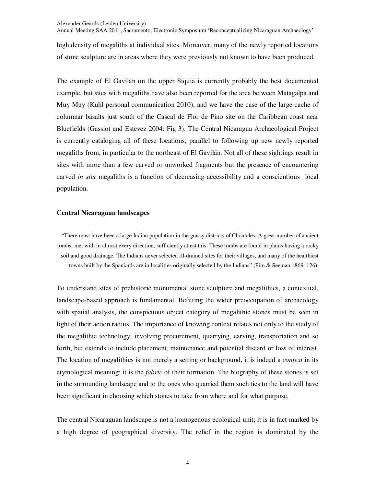Annual Meeting SAA 2011, Sacramento, Electronic Symposium 'Reconceptualizing Nicaraguan Archaeology'

high density of megaliths at individual sites. Moreover, many of the newly reported locations of stone sculpture are in areas where they were previously not known to have been produced.

The example of El Gavilán on the upper Siquia is currently probably the best documented example, but sites with megaliths have also been reported for the area between Matagalpa and Muy Muy (Kuhl personal communication 2010), and we have the case of the large cache of columnar basalts just south of the Cascal de Flor de Pino site on the Caribbean coast near Bluefields (Gassiot and Estevez 2004: Fig 3). The Central Nicaragua Archaeological Project is currently cataloging all of these locations, parallel to following up new newly reported megaliths from, in particular to the northeast of El Gavilán. Not all of these sightings result in sites with more than a few carved or unworked fragments but the presence of encountering carved *in situ* megaliths is a function of decreasing accessibility and a conscientious local population.

# **Central Nicaraguan landscapes**

"There must have been a large Indian population in the grassy districts of Chontales. A great number of ancient tombs, met with in almost every direction, sufficiently attest this. These tombs are found in plains having a rocky soil and good drainage. The Indians never selected ill-drained sites for their villages, and many of the healthiest towns built by the Spaniards are in localities originally selected by the Indians" (Pim & Seeman 1869: 126).

To understand sites of prehistoric monumental stone sculpture and megalithics, a contextual, landscape-based approach is fundamental. Befitting the wider preoccupation of archaeology with spatial analysis, the conspicuous object category of megalithic stones must be seen in light of their action radius. The importance of knowing context relates not only to the study of the megalithic technology, involving procurement, quarrying, carving, transportation and so forth, but extends to include placement, maintenance and potential discard or loss of interest. The location of megalithics is not merely a setting or background, it is indeed a *context* in its etymological meaning; it is the *fabric* of their formation. The biography of these stones is set in the surrounding landscape and to the ones who quarried them such ties to the land will have been significant in choosing which stones to take from where and for what purpose.

The central Nicaraguan landscape is not a homogenous ecological unit; it is in fact marked by a high degree of geographical diversity. The relief in the region is dominated by the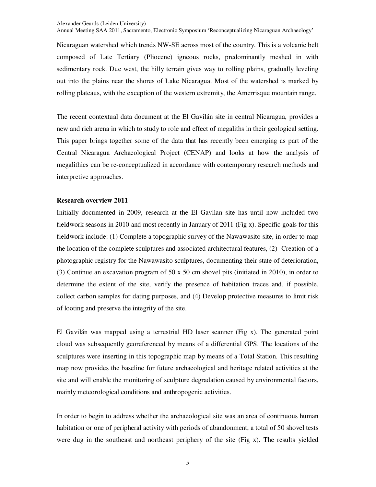Annual Meeting SAA 2011, Sacramento, Electronic Symposium 'Reconceptualizing Nicaraguan Archaeology'

Nicaraguan watershed which trends NW-SE across most of the country. This is a volcanic belt composed of Late Tertiary (Pliocene) igneous rocks, predominantly meshed in with sedimentary rock. Due west, the hilly terrain gives way to rolling plains, gradually leveling out into the plains near the shores of Lake Nicaragua. Most of the watershed is marked by rolling plateaus, with the exception of the western extremity, the Amerrisque mountain range.

The recent contextual data document at the El Gavilán site in central Nicaragua, provides a new and rich arena in which to study to role and effect of megaliths in their geological setting. This paper brings together some of the data that has recently been emerging as part of the Central Nicaragua Archaeological Project (CENAP) and looks at how the analysis of megalithics can be re-conceptualized in accordance with contemporary research methods and interpretive approaches.

## **Research overview 2011**

Initially documented in 2009, research at the El Gavilan site has until now included two fieldwork seasons in 2010 and most recently in January of 2011 (Fig x). Specific goals for this fieldwork include: (1) Complete a topographic survey of the Nawawasito site, in order to map the location of the complete sculptures and associated architectural features, (2) Creation of a photographic registry for the Nawawasito sculptures, documenting their state of deterioration, (3) Continue an excavation program of 50 x 50 cm shovel pits (initiated in 2010), in order to determine the extent of the site, verify the presence of habitation traces and, if possible, collect carbon samples for dating purposes, and (4) Develop protective measures to limit risk of looting and preserve the integrity of the site.

El Gavilán was mapped using a terrestrial HD laser scanner (Fig x). The generated point cloud was subsequently georeferenced by means of a differential GPS. The locations of the sculptures were inserting in this topographic map by means of a Total Station. This resulting map now provides the baseline for future archaeological and heritage related activities at the site and will enable the monitoring of sculpture degradation caused by environmental factors, mainly meteorological conditions and anthropogenic activities.

In order to begin to address whether the archaeological site was an area of continuous human habitation or one of peripheral activity with periods of abandonment, a total of 50 shovel tests were dug in the southeast and northeast periphery of the site (Fig x). The results yielded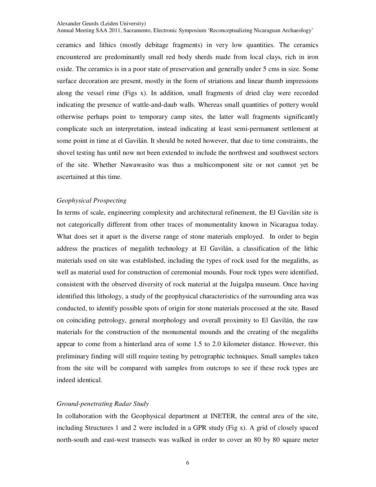Annual Meeting SAA 2011, Sacramento, Electronic Symposium 'Reconceptualizing Nicaraguan Archaeology'

ceramics and lithics (mostly debitage fragments) in very low quantities. The ceramics encountered are predominantly small red body sherds made from local clays, rich in iron oxide. The ceramics is in a poor state of preservation and generally under 5 cms in size. Some surface decoration are present, mostly in the form of striations and linear thumb impressions along the vessel rime (Figs x). In addition, small fragments of dried clay were recorded indicating the presence of wattle-and-daub walls. Whereas small quantities of pottery would otherwise perhaps point to temporary camp sites, the latter wall fragments significantly complicate such an interpretation, instead indicating at least semi-permanent settlement at some point in time at el Gavilán. It should be noted however, that due to time constraints, the shovel testing has until now not been extended to include the northwest and southwest sectors of the site. Whether Nawawasito was thus a multicomponent site or not cannot yet be ascertained at this time.

# *Geophysical Prospecting*

In terms of scale, engineering complexity and architectural refinement, the El Gavilán site is not categorically different from other traces of monumentality known in Nicaragua today. What does set it apart is the diverse range of stone materials employed. In order to begin address the practices of megalith technology at El Gavilán, a classification of the lithic materials used on site was established, including the types of rock used for the megaliths, as well as material used for construction of ceremonial mounds. Four rock types were identified, consistent with the observed diversity of rock material at the Juigalpa museum. Once having identified this lithology, a study of the geophysical characteristics of the surrounding area was conducted, to identify possible spots of origin for stone materials processed at the site. Based on coinciding petrology, general morphology and overall proximity to El Gavilán, the raw materials for the construction of the monumental mounds and the creating of the megaliths appear to come from a hinterland area of some 1.5 to 2.0 kilometer distance. However, this preliminary finding will still require testing by petrographic techniques. Small samples taken from the site will be compared with samples from outcrops to see if these rock types are indeed identical.

#### *Ground-penetrating Radar Study*

In collaboration with the Geophysical department at INETER, the central area of the site, including Structures 1 and 2 were included in a GPR study (Fig x). A grid of closely spaced north-south and east-west transects was walked in order to cover an 80 by 80 square meter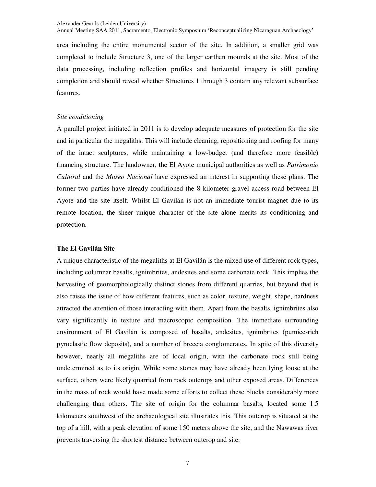Annual Meeting SAA 2011, Sacramento, Electronic Symposium 'Reconceptualizing Nicaraguan Archaeology'

area including the entire monumental sector of the site. In addition, a smaller grid was completed to include Structure 3, one of the larger earthen mounds at the site. Most of the data processing, including reflection profiles and horizontal imagery is still pending completion and should reveal whether Structures 1 through 3 contain any relevant subsurface features.

### *Site conditioning*

A parallel project initiated in 2011 is to develop adequate measures of protection for the site and in particular the megaliths. This will include cleaning, repositioning and roofing for many of the intact sculptures, while maintaining a low-budget (and therefore more feasible) financing structure. The landowner, the El Ayote municipal authorities as well as *Patrimonio Cultural* and the *Museo Nacional* have expressed an interest in supporting these plans. The former two parties have already conditioned the 8 kilometer gravel access road between El Ayote and the site itself. Whilst El Gavilán is not an immediate tourist magnet due to its remote location, the sheer unique character of the site alone merits its conditioning and protection.

# **The El Gavilán Site**

A unique characteristic of the megaliths at El Gavilán is the mixed use of different rock types, including columnar basalts, ignimbrites, andesites and some carbonate rock. This implies the harvesting of geomorphologically distinct stones from different quarries, but beyond that is also raises the issue of how different features, such as color, texture, weight, shape, hardness attracted the attention of those interacting with them. Apart from the basalts, ignimbrites also vary significantly in texture and macroscopic composition. The immediate surrounding environment of El Gavilán is composed of basalts, andesites, ignimbrites (pumice-rich pyroclastic flow deposits), and a number of breccia conglomerates. In spite of this diversity however, nearly all megaliths are of local origin, with the carbonate rock still being undetermined as to its origin. While some stones may have already been lying loose at the surface, others were likely quarried from rock outcrops and other exposed areas. Differences in the mass of rock would have made some efforts to collect these blocks considerably more challenging than others. The site of origin for the columnar basalts, located some 1.5 kilometers southwest of the archaeological site illustrates this. This outcrop is situated at the top of a hill, with a peak elevation of some 150 meters above the site, and the Nawawas river prevents traversing the shortest distance between outcrop and site.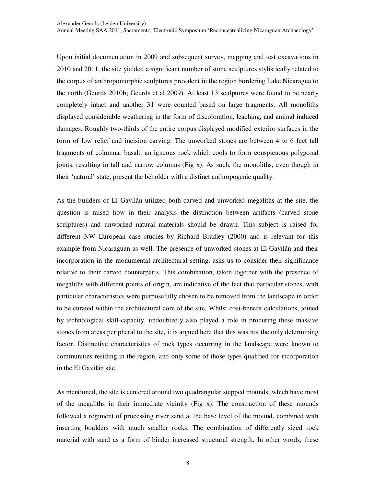Upon initial documentation in 2009 and subsequent survey, mapping and test excavations in 2010 and 2011, the site yielded a significant number of stone sculptures stylistically related to the corpus of anthropomorphic sculptures prevalent in the region bordering Lake Nicaragua to the north (Geurds 2010b; Geurds et al 2009). At least 13 sculptures were found to be nearly completely intact and another 31 were counted based on large fragments. All monoliths displayed considerable weathering in the form of discoloration, leaching, and animal induced damages. Roughly two-thirds of the entire corpus displayed modified exterior surfaces in the form of low relief and incision carving. The unworked stones are between 4 to 6 feet tall fragments of columnar basalt, an igneous rock which cools to form conspicuous polygonal joints, resulting in tall and narrow columns (Fig x). As such, the monoliths, even though in their 'natural' state, present the beholder with a distinct anthropogenic quality.

As the builders of El Gavilán utilized both carved and unworked megaliths at the site, the question is raised how in their analysis the distinction between artifacts (carved stone sculptures) and unworked natural materials should be drawn. This subject is raised for different NW European case studies by Richard Bradley (2000) and is relevant for this example from Nicaraguan as well. The presence of unworked stones at El Gavilán and their incorporation in the monumental architectural setting, asks us to consider their significance relative to their carved counterparts. This combination, taken together with the presence of megaliths with different points of origin, are indicative of the fact that particular stones, with particular characteristics were purposefully chosen to be removed from the landscape in order to be curated within the architectural core of the site. Whilst cost-benefit calculations, joined by technological skill-capacity, undoubtedly also played a role in procuring these massive stones from areas peripheral to the site, it is argued here that this was not the only determining factor. Distinctive characteristics of rock types occurring in the landscape were known to communities residing in the region, and only some of those types qualified for incorporation in the El Gavilán site.

As mentioned, the site is centered around two quadrangular stepped mounds, which have most of the megaliths in their immediate vicinity (Fig x). The construction of these mounds followed a regiment of processing river sand at the base level of the mound, combined with inserting boulders with much smaller rocks. The combination of differently sized rock material with sand as a form of binder increased structural strength. In other words, these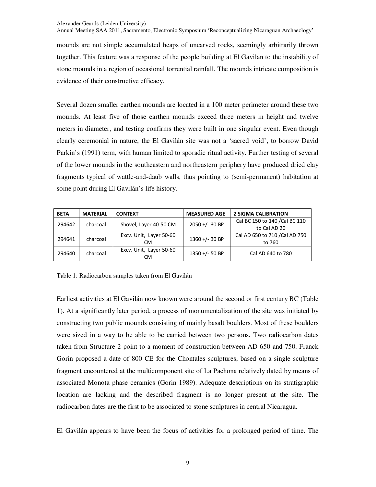Annual Meeting SAA 2011, Sacramento, Electronic Symposium 'Reconceptualizing Nicaraguan Archaeology'

mounds are not simple accumulated heaps of uncarved rocks, seemingly arbitrarily thrown together. This feature was a response of the people building at El Gavilan to the instability of stone mounds in a region of occasional torrential rainfall. The mounds intricate composition is evidence of their constructive efficacy.

Several dozen smaller earthen mounds are located in a 100 meter perimeter around these two mounds. At least five of those earthen mounds exceed three meters in height and twelve meters in diameter, and testing confirms they were built in one singular event. Even though clearly ceremonial in nature, the El Gavilán site was not a 'sacred void', to borrow David Parkin's (1991) term, with human limited to sporadic ritual activity. Further testing of several of the lower mounds in the southeastern and northeastern periphery have produced dried clay fragments typical of wattle-and-daub walls, thus pointing to (semi-permanent) habitation at some point during El Gavilán's life history.

| <b>BETA</b> | <b>MATERIAL</b> | <b>CONTEXT</b>                       | <b>MEASURED AGE</b> | <b>2 SIGMA CALIBRATION</b>    |
|-------------|-----------------|--------------------------------------|---------------------|-------------------------------|
| 294642      | charcoal        | Shovel, Layer 40-50 CM               | $2050 +/- 30 BP$    | Cal BC 150 to 140 /Cal BC 110 |
|             |                 |                                      |                     | to Cal AD 20                  |
| 294641      | charcoal        | Excv. Unit, Layer 50-60              | $1360 +/- 30 BP$    | Cal AD 650 to 710 /Cal AD 750 |
|             |                 | <b>CM</b>                            |                     | to 760                        |
| 294640      | charcoal        | Excv. Unit, Layer 50-60<br><b>CM</b> | $1350 +/- 50 BP$    | Cal AD 640 to 780             |

Table 1: Radiocarbon samples taken from El Gavilán

Earliest activities at El Gavilán now known were around the second or first century BC (Table 1). At a significantly later period, a process of monumentalization of the site was initiated by constructing two public mounds consisting of mainly basalt boulders. Most of these boulders were sized in a way to be able to be carried between two persons. Two radiocarbon dates taken from Structure 2 point to a moment of construction between AD 650 and 750. Franck Gorin proposed a date of 800 CE for the Chontales sculptures, based on a single sculpture fragment encountered at the multicomponent site of La Pachona relatively dated by means of associated Monota phase ceramics (Gorin 1989). Adequate descriptions on its stratigraphic location are lacking and the described fragment is no longer present at the site. The radiocarbon dates are the first to be associated to stone sculptures in central Nicaragua.

El Gavilán appears to have been the focus of activities for a prolonged period of time. The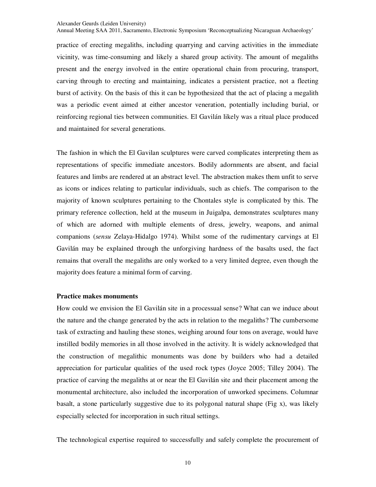Annual Meeting SAA 2011, Sacramento, Electronic Symposium 'Reconceptualizing Nicaraguan Archaeology'

practice of erecting megaliths, including quarrying and carving activities in the immediate vicinity, was time-consuming and likely a shared group activity. The amount of megaliths present and the energy involved in the entire operational chain from procuring, transport, carving through to erecting and maintaining, indicates a persistent practice, not a fleeting burst of activity. On the basis of this it can be hypothesized that the act of placing a megalith was a periodic event aimed at either ancestor veneration, potentially including burial, or reinforcing regional ties between communities. El Gavilán likely was a ritual place produced and maintained for several generations.

The fashion in which the El Gavilan sculptures were carved complicates interpreting them as representations of specific immediate ancestors. Bodily adornments are absent, and facial features and limbs are rendered at an abstract level. The abstraction makes them unfit to serve as icons or indices relating to particular individuals, such as chiefs. The comparison to the majority of known sculptures pertaining to the Chontales style is complicated by this. The primary reference collection, held at the museum in Juigalpa, demonstrates sculptures many of which are adorned with multiple elements of dress, jewelry, weapons, and animal companions (*sensu* Zelaya-Hidalgo 1974). Whilst some of the rudimentary carvings at El Gavilán may be explained through the unforgiving hardness of the basalts used, the fact remains that overall the megaliths are only worked to a very limited degree, even though the majority does feature a minimal form of carving.

### **Practice makes monuments**

How could we envision the El Gavilán site in a processual sense? What can we induce about the nature and the change generated by the acts in relation to the megaliths? The cumbersome task of extracting and hauling these stones, weighing around four tons on average, would have instilled bodily memories in all those involved in the activity. It is widely acknowledged that the construction of megalithic monuments was done by builders who had a detailed appreciation for particular qualities of the used rock types (Joyce 2005; Tilley 2004). The practice of carving the megaliths at or near the El Gavilán site and their placement among the monumental architecture, also included the incorporation of unworked specimens. Columnar basalt, a stone particularly suggestive due to its polygonal natural shape (Fig x), was likely especially selected for incorporation in such ritual settings.

The technological expertise required to successfully and safely complete the procurement of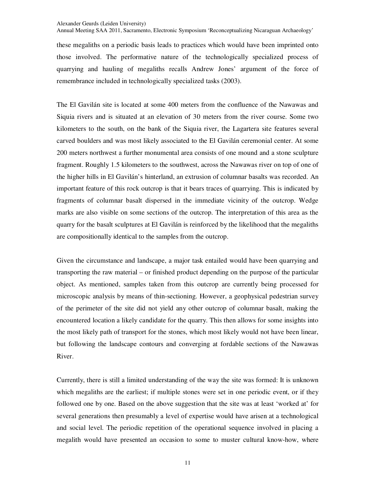Annual Meeting SAA 2011, Sacramento, Electronic Symposium 'Reconceptualizing Nicaraguan Archaeology'

these megaliths on a periodic basis leads to practices which would have been imprinted onto those involved. The performative nature of the technologically specialized process of quarrying and hauling of megaliths recalls Andrew Jones' argument of the force of remembrance included in technologically specialized tasks (2003).

The El Gavilán site is located at some 400 meters from the confluence of the Nawawas and Siquia rivers and is situated at an elevation of 30 meters from the river course. Some two kilometers to the south, on the bank of the Siquia river, the Lagartera site features several carved boulders and was most likely associated to the El Gavilán ceremonial center. At some 200 meters northwest a further monumental area consists of one mound and a stone sculpture fragment. Roughly 1.5 kilometers to the southwest, across the Nawawas river on top of one of the higher hills in El Gavilán's hinterland, an extrusion of columnar basalts was recorded. An important feature of this rock outcrop is that it bears traces of quarrying. This is indicated by fragments of columnar basalt dispersed in the immediate vicinity of the outcrop. Wedge marks are also visible on some sections of the outcrop. The interpretation of this area as the quarry for the basalt sculptures at El Gavilán is reinforced by the likelihood that the megaliths are compositionally identical to the samples from the outcrop.

Given the circumstance and landscape, a major task entailed would have been quarrying and transporting the raw material – or finished product depending on the purpose of the particular object. As mentioned, samples taken from this outcrop are currently being processed for microscopic analysis by means of thin-sectioning. However, a geophysical pedestrian survey of the perimeter of the site did not yield any other outcrop of columnar basalt, making the encountered location a likely candidate for the quarry. This then allows for some insights into the most likely path of transport for the stones, which most likely would not have been linear, but following the landscape contours and converging at fordable sections of the Nawawas River.

Currently, there is still a limited understanding of the way the site was formed: It is unknown which megaliths are the earliest; if multiple stones were set in one periodic event, or if they followed one by one. Based on the above suggestion that the site was at least 'worked at' for several generations then presumably a level of expertise would have arisen at a technological and social level. The periodic repetition of the operational sequence involved in placing a megalith would have presented an occasion to some to muster cultural know-how, where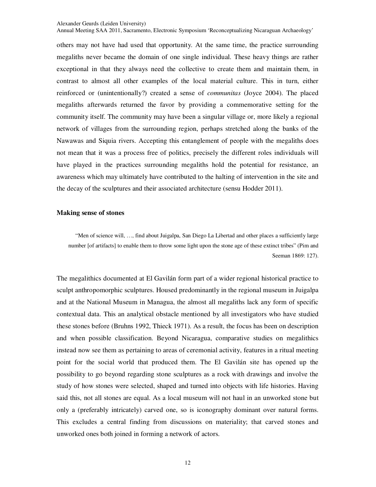Annual Meeting SAA 2011, Sacramento, Electronic Symposium 'Reconceptualizing Nicaraguan Archaeology'

others may not have had used that opportunity. At the same time, the practice surrounding megaliths never became the domain of one single individual. These heavy things are rather exceptional in that they always need the collective to create them and maintain them, in contrast to almost all other examples of the local material culture. This in turn, either reinforced or (unintentionally?) created a sense of *communitas* (Joyce 2004). The placed megaliths afterwards returned the favor by providing a commemorative setting for the community itself. The community may have been a singular village or, more likely a regional network of villages from the surrounding region, perhaps stretched along the banks of the Nawawas and Siquia rivers. Accepting this entanglement of people with the megaliths does not mean that it was a process free of politics, precisely the different roles individuals will have played in the practices surrounding megaliths hold the potential for resistance, an awareness which may ultimately have contributed to the halting of intervention in the site and the decay of the sculptures and their associated architecture (sensu Hodder 2011).

## **Making sense of stones**

 "Men of science will, …, find about Juigalpa, San Diego La Libertad and other places a sufficiently large number [of artifacts] to enable them to throw some light upon the stone age of these extinct tribes" (Pim and Seeman 1869: 127).

The megalithics documented at El Gavilán form part of a wider regional historical practice to sculpt anthropomorphic sculptures. Housed predominantly in the regional museum in Juigalpa and at the National Museum in Managua, the almost all megaliths lack any form of specific contextual data. This an analytical obstacle mentioned by all investigators who have studied these stones before (Bruhns 1992, Thieck 1971). As a result, the focus has been on description and when possible classification. Beyond Nicaragua, comparative studies on megalithics instead now see them as pertaining to areas of ceremonial activity, features in a ritual meeting point for the social world that produced them. The El Gavilán site has opened up the possibility to go beyond regarding stone sculptures as a rock with drawings and involve the study of how stones were selected, shaped and turned into objects with life histories. Having said this, not all stones are equal. As a local museum will not haul in an unworked stone but only a (preferably intricately) carved one, so is iconography dominant over natural forms. This excludes a central finding from discussions on materiality; that carved stones and unworked ones both joined in forming a network of actors.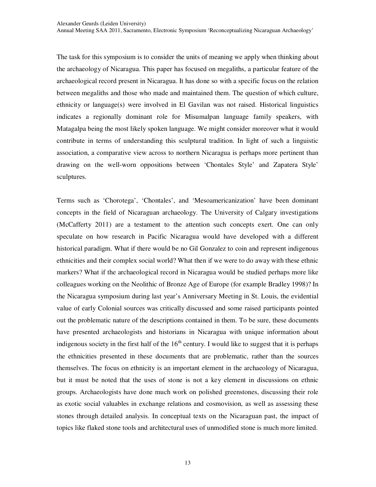The task for this symposium is to consider the units of meaning we apply when thinking about the archaeology of Nicaragua. This paper has focused on megaliths, a particular feature of the archaeological record present in Nicaragua. It has done so with a specific focus on the relation between megaliths and those who made and maintained them. The question of which culture, ethnicity or language(s) were involved in El Gavilan was not raised. Historical linguistics indicates a regionally dominant role for Misumalpan language family speakers, with Matagalpa being the most likely spoken language. We might consider moreover what it would contribute in terms of understanding this sculptural tradition. In light of such a linguistic association, a comparative view across to northern Nicaragua is perhaps more pertinent than drawing on the well-worn oppositions between 'Chontales Style' and Zapatera Style' sculptures.

Terms such as 'Chorotega', 'Chontales', and 'Mesoamericanization' have been dominant concepts in the field of Nicaraguan archaeology. The University of Calgary investigations (McCafferty 2011) are a testament to the attention such concepts exert. One can only speculate on how research in Pacific Nicaragua would have developed with a different historical paradigm. What if there would be no Gil Gonzalez to coin and represent indigenous ethnicities and their complex social world? What then if we were to do away with these ethnic markers? What if the archaeological record in Nicaragua would be studied perhaps more like colleagues working on the Neolithic of Bronze Age of Europe (for example Bradley 1998)? In the Nicaragua symposium during last year's Anniversary Meeting in St. Louis, the evidential value of early Colonial sources was critically discussed and some raised participants pointed out the problematic nature of the descriptions contained in them. To be sure, these documents have presented archaeologists and historians in Nicaragua with unique information about indigenous society in the first half of the  $16<sup>th</sup>$  century. I would like to suggest that it is perhaps the ethnicities presented in these documents that are problematic, rather than the sources themselves. The focus on ethnicity is an important element in the archaeology of Nicaragua, but it must be noted that the uses of stone is not a key element in discussions on ethnic groups. Archaeologists have done much work on polished greenstones, discussing their role as exotic social valuables in exchange relations and cosmovision, as well as assessing these stones through detailed analysis. In conceptual texts on the Nicaraguan past, the impact of topics like flaked stone tools and architectural uses of unmodified stone is much more limited.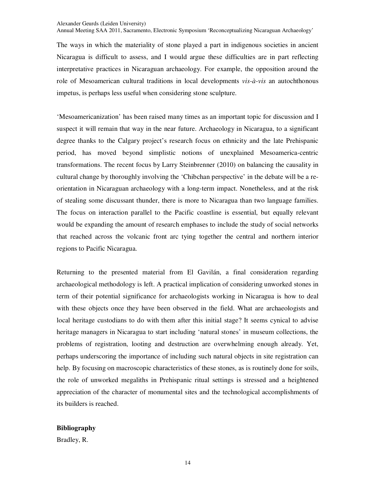Annual Meeting SAA 2011, Sacramento, Electronic Symposium 'Reconceptualizing Nicaraguan Archaeology'

The ways in which the materiality of stone played a part in indigenous societies in ancient Nicaragua is difficult to assess, and I would argue these difficulties are in part reflecting interpretative practices in Nicaraguan archaeology. For example, the opposition around the role of Mesoamerican cultural traditions in local developments *vis-à-vis* an autochthonous impetus, is perhaps less useful when considering stone sculpture.

'Mesoamericanization' has been raised many times as an important topic for discussion and I suspect it will remain that way in the near future. Archaeology in Nicaragua, to a significant degree thanks to the Calgary project's research focus on ethnicity and the late Prehispanic period, has moved beyond simplistic notions of unexplained Mesoamerica-centric transformations. The recent focus by Larry Steinbrenner (2010) on balancing the causality in cultural change by thoroughly involving the 'Chibchan perspective' in the debate will be a reorientation in Nicaraguan archaeology with a long-term impact. Nonetheless, and at the risk of stealing some discussant thunder, there is more to Nicaragua than two language families. The focus on interaction parallel to the Pacific coastline is essential, but equally relevant would be expanding the amount of research emphases to include the study of social networks that reached across the volcanic front arc tying together the central and northern interior regions to Pacific Nicaragua.

Returning to the presented material from El Gavilán, a final consideration regarding archaeological methodology is left. A practical implication of considering unworked stones in term of their potential significance for archaeologists working in Nicaragua is how to deal with these objects once they have been observed in the field. What are archaeologists and local heritage custodians to do with them after this initial stage? It seems cynical to advise heritage managers in Nicaragua to start including 'natural stones' in museum collections, the problems of registration, looting and destruction are overwhelming enough already. Yet, perhaps underscoring the importance of including such natural objects in site registration can help. By focusing on macroscopic characteristics of these stones, as is routinely done for soils, the role of unworked megaliths in Prehispanic ritual settings is stressed and a heightened appreciation of the character of monumental sites and the technological accomplishments of its builders is reached.

## **Bibliography**

Bradley, R.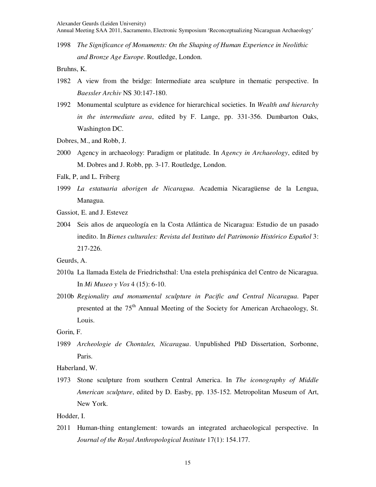Annual Meeting SAA 2011, Sacramento, Electronic Symposium 'Reconceptualizing Nicaraguan Archaeology'

1998 *The Significance of Monuments: On the Shaping of Human Experience in Neolithic and Bronze Age Europe*. Routledge, London.

Bruhns, K.

- 1982 A view from the bridge: Intermediate area sculpture in thematic perspective. In *Baessler Archiv* NS 30:147-180.
- 1992 Monumental sculpture as evidence for hierarchical societies. In *Wealth and hierarchy in the intermediate area*, edited by F. Lange, pp. 331-356. Dumbarton Oaks, Washington DC.
- Dobres, M., and Robb, J.
- 2000 Agency in archaeology: Paradigm or platitude. In *Agency in Archaeology*, edited by M. Dobres and J. Robb, pp. 3-17. Routledge, London.
- Falk, P, and L. Friberg
- 1999 *La estatuaria aborigen de Nicaragua*. Academia Nicaragüense de la Lengua, Managua.
- Gassiot, E. and J. Estevez
- 2004 Seis años de arqueología en la Costa Atlántica de Nicaragua: Estudio de un pasado inedito. In *Bienes culturales: Revista del Instituto del Patrimonio Histórico Español* 3: 217-226.

Geurds, A.

- 2010a La llamada Estela de Friedrichsthal: Una estela prehispánica del Centro de Nicaragua. In *Mi Museo y Vos* 4 (15): 6-10.
- 2010b *Regionality and monumental sculpture in Pacific and Central Nicaragua*. Paper presented at the 75<sup>th</sup> Annual Meeting of the Society for American Archaeology, St. Louis.

Gorin, F.

1989 *Archeologie de Chontales, Nicaragua*. Unpublished PhD Dissertation, Sorbonne, Paris.

Haberland, W.

1973 Stone sculpture from southern Central America. In *The iconography of Middle American sculpture*, edited by D. Easby, pp. 135-152. Metropolitan Museum of Art, New York.

Hodder, I.

2011 Human-thing entanglement: towards an integrated archaeological perspective. In *Journal of the Royal Anthropological Institute* 17(1): 154.177.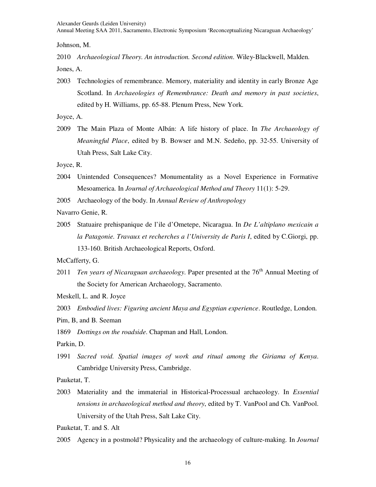Annual Meeting SAA 2011, Sacramento, Electronic Symposium 'Reconceptualizing Nicaraguan Archaeology'

Johnson, M.

2010 *Archaeological Theory. An introduction. Second edition*. Wiley-Blackwell, Malden.

Jones, A.

2003 Technologies of remembrance. Memory, materiality and identity in early Bronze Age Scotland. In *Archaeologies of Remembrance: Death and memory in past societies*, edited by H. Williams, pp. 65-88. Plenum Press, New York.

Joyce, A.

2009 The Main Plaza of Monte Albán: A life history of place. In *The Archaeology of Meaningful Place*, edited by B. Bowser and M.N. Sedeño, pp. 32-55. University of Utah Press, Salt Lake City.

Joyce, R.

- 2004 Unintended Consequences? Monumentality as a Novel Experience in Formative Mesoamerica. In *Journal of Archaeological Method and Theory* 11(1): 5-29.
- 2005 Archaeology of the body. In *Annual Review of Anthropology*

Navarro Genie, R.

2005 Statuaire prehispanique de l'ile d'Ometepe, Nicaragua. In *De L'altiplano mexicain a la Patagonie. Travaux et recherches a l'University de Paris I*, edited by C.Giorgi, pp. 133-160. British Archaeological Reports, Oxford.

McCafferty, G.

2011 *Ten years of Nicaraguan archaeology*. Paper presented at the 76<sup>th</sup> Annual Meeting of the Society for American Archaeology, Sacramento.

Meskell, L. and R. Joyce

2003 *Embodied lives: Figuring ancient Maya and Egyptian experience*. Routledge, London.

Pim, B, and B. Seeman

1869 *Dottings on the roadside*. Chapman and Hall, London.

Parkin, D.

1991 *Sacred void. Spatial images of work and ritual among the Giriama of Kenya*. Cambridge University Press, Cambridge.

Pauketat, T.

2003 Materiality and the immaterial in Historical-Processual archaeology. In *Essential tensions in archaeological method and theory*, edited by T. VanPool and Ch. VanPool. University of the Utah Press, Salt Lake City.

Pauketat, T. and S. Alt

2005 Agency in a postmold? Physicality and the archaeology of culture-making. In *Journal*